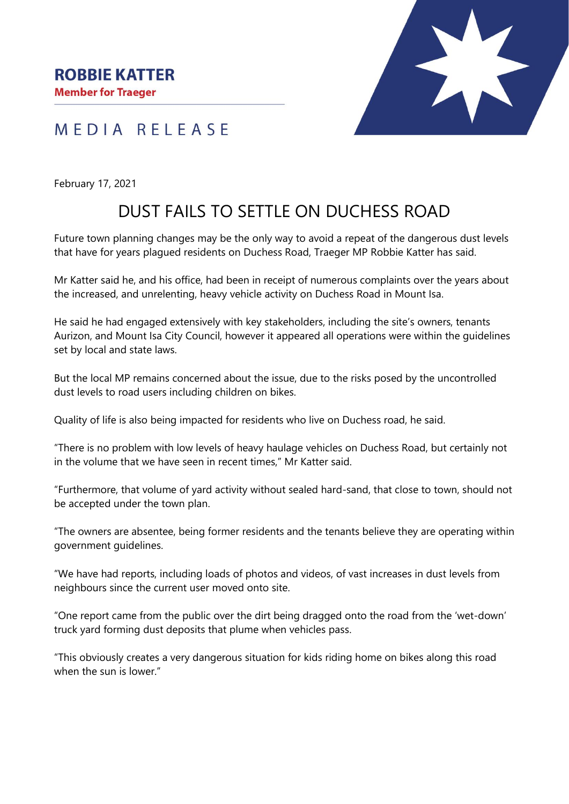



February 17, 2021

## DUST FAILS TO SETTLE ON DUCHESS ROAD

Future town planning changes may be the only way to avoid a repeat of the dangerous dust levels that have for years plagued residents on Duchess Road, Traeger MP Robbie Katter has said.

Mr Katter said he, and his office, had been in receipt of numerous complaints over the years about the increased, and unrelenting, heavy vehicle activity on Duchess Road in Mount Isa.

He said he had engaged extensively with key stakeholders, including the site's owners, tenants Aurizon, and Mount Isa City Council, however it appeared all operations were within the guidelines set by local and state laws.

But the local MP remains concerned about the issue, due to the risks posed by the uncontrolled dust levels to road users including children on bikes.

Quality of life is also being impacted for residents who live on Duchess road, he said.

"There is no problem with low levels of heavy haulage vehicles on Duchess Road, but certainly not in the volume that we have seen in recent times," Mr Katter said.

"Furthermore, that volume of yard activity without sealed hard-sand, that close to town, should not be accepted under the town plan.

"The owners are absentee, being former residents and the tenants believe they are operating within government guidelines.

"We have had reports, including loads of photos and videos, of vast increases in dust levels from neighbours since the current user moved onto site.

"One report came from the public over the dirt being dragged onto the road from the 'wet-down' truck yard forming dust deposits that plume when vehicles pass.

"This obviously creates a very dangerous situation for kids riding home on bikes along this road when the sun is lower"